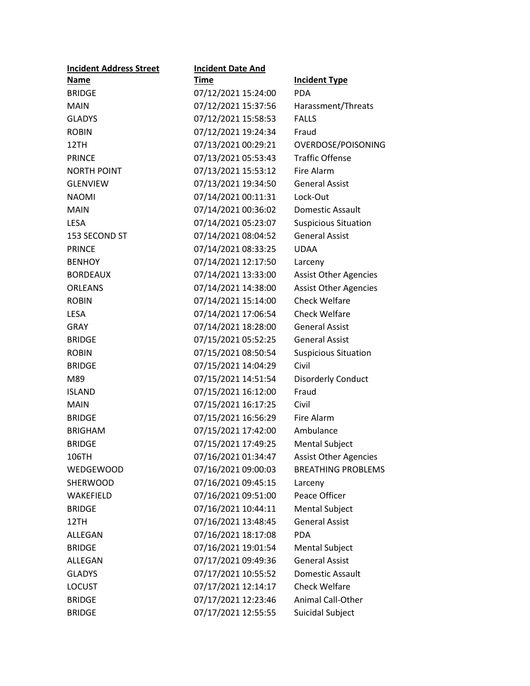| <b>Incident Address Street</b> | <b>Incident Date And</b> |                              |
|--------------------------------|--------------------------|------------------------------|
| Name                           | <b>Time</b>              | <b>Incident Type</b>         |
| <b>BRIDGE</b>                  | 07/12/2021 15:24:00      | <b>PDA</b>                   |
| <b>MAIN</b>                    | 07/12/2021 15:37:56      | Harassment/Threats           |
| <b>GLADYS</b>                  | 07/12/2021 15:58:53      | <b>FALLS</b>                 |
| <b>ROBIN</b>                   | 07/12/2021 19:24:34      | Fraud                        |
| 12TH                           | 07/13/2021 00:29:21      | OVERDOSE/POISONING           |
| <b>PRINCE</b>                  | 07/13/2021 05:53:43      | <b>Traffic Offense</b>       |
| <b>NORTH POINT</b>             | 07/13/2021 15:53:12      | <b>Fire Alarm</b>            |
| <b>GLENVIEW</b>                | 07/13/2021 19:34:50      | <b>General Assist</b>        |
| <b>NAOMI</b>                   | 07/14/2021 00:11:31      | Lock-Out                     |
| <b>MAIN</b>                    | 07/14/2021 00:36:02      | Domestic Assault             |
| <b>LESA</b>                    | 07/14/2021 05:23:07      | <b>Suspicious Situation</b>  |
| 153 SECOND ST                  | 07/14/2021 08:04:52      | <b>General Assist</b>        |
| <b>PRINCE</b>                  | 07/14/2021 08:33:25      | <b>UDAA</b>                  |
| <b>BENHOY</b>                  | 07/14/2021 12:17:50      | Larceny                      |
| <b>BORDEAUX</b>                | 07/14/2021 13:33:00      | <b>Assist Other Agencies</b> |
| <b>ORLEANS</b>                 | 07/14/2021 14:38:00      | <b>Assist Other Agencies</b> |
| <b>ROBIN</b>                   | 07/14/2021 15:14:00      | <b>Check Welfare</b>         |
| <b>LESA</b>                    | 07/14/2021 17:06:54      | <b>Check Welfare</b>         |
| <b>GRAY</b>                    | 07/14/2021 18:28:00      | <b>General Assist</b>        |
| <b>BRIDGE</b>                  | 07/15/2021 05:52:25      | <b>General Assist</b>        |
| <b>ROBIN</b>                   | 07/15/2021 08:50:54      | <b>Suspicious Situation</b>  |
| <b>BRIDGE</b>                  | 07/15/2021 14:04:29      | Civil                        |
| M89                            | 07/15/2021 14:51:54      | Disorderly Conduct           |
| <b>ISLAND</b>                  | 07/15/2021 16:12:00      | Fraud                        |
| <b>MAIN</b>                    | 07/15/2021 16:17:25      | Civil                        |
| <b>BRIDGE</b>                  | 07/15/2021 16:56:29      | Fire Alarm                   |
| <b>BRIGHAM</b>                 | 07/15/2021 17:42:00      | Ambulance                    |
| <b>BRIDGE</b>                  | 07/15/2021 17:49:25      | <b>Mental Subject</b>        |
| 106TH                          | 07/16/2021 01:34:47      | <b>Assist Other Agencies</b> |
| WEDGEWOOD                      | 07/16/2021 09:00:03      | <b>BREATHING PROBLEMS</b>    |
| SHERWOOD                       | 07/16/2021 09:45:15      | Larceny                      |
| WAKEFIELD                      | 07/16/2021 09:51:00      | Peace Officer                |
| <b>BRIDGE</b>                  | 07/16/2021 10:44:11      | Mental Subject               |
| 12TH                           | 07/16/2021 13:48:45      | <b>General Assist</b>        |
| ALLEGAN                        | 07/16/2021 18:17:08      | <b>PDA</b>                   |
| <b>BRIDGE</b>                  | 07/16/2021 19:01:54      | <b>Mental Subject</b>        |
| <b>ALLEGAN</b>                 | 07/17/2021 09:49:36      | <b>General Assist</b>        |
| <b>GLADYS</b>                  | 07/17/2021 10:55:52      | Domestic Assault             |
| <b>LOCUST</b>                  | 07/17/2021 12:14:17      | <b>Check Welfare</b>         |
| <b>BRIDGE</b>                  | 07/17/2021 12:23:46      | Animal Call-Other            |
| <b>BRIDGE</b>                  | 07/17/2021 12:55:55      | Suicidal Subject             |
|                                |                          |                              |